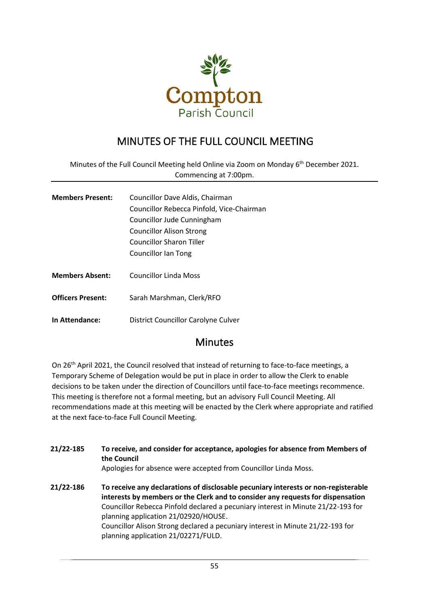

# MINUTES OF THE FULL COUNCIL MEETING

Minutes of the Full Council Meeting held Online via Zoom on Monday 6<sup>th</sup> December 2021. Commencing at 7:00pm.

| <b>Members Present:</b> | Councillor Dave Aldis, Chairman           |  |
|-------------------------|-------------------------------------------|--|
|                         | Councillor Rebecca Pinfold, Vice-Chairman |  |
|                         | Councillor Jude Cunningham                |  |
|                         | <b>Councillor Alison Strong</b>           |  |
|                         | <b>Councillor Sharon Tiller</b>           |  |
|                         | <b>Councillor Ian Tong</b>                |  |
|                         |                                           |  |
| <b>Members Absent:</b>  | Councillor Linda Moss                     |  |

**Officers Present:** Sarah Marshman, Clerk/RFO

**In Attendance:** District Councillor Carolyne Culver

## **Minutes**

On 26<sup>th</sup> April 2021, the Council resolved that instead of returning to face-to-face meetings, a Temporary Scheme of Delegation would be put in place in order to allow the Clerk to enable decisions to be taken under the direction of Councillors until face-to-face meetings recommence. This meeting is therefore not a formal meeting, but an advisory Full Council Meeting. All recommendations made at this meeting will be enacted by the Clerk where appropriate and ratified at the next face-to-face Full Council Meeting.

| 21/22-185 | To receive, and consider for acceptance, apologies for absence from Members of<br>the Council<br>Apologies for absence were accepted from Councillor Linda Moss.                                                                                                                                                                                                                                                           |
|-----------|----------------------------------------------------------------------------------------------------------------------------------------------------------------------------------------------------------------------------------------------------------------------------------------------------------------------------------------------------------------------------------------------------------------------------|
| 21/22-186 | To receive any declarations of disclosable pecuniary interests or non-registerable<br>interests by members or the Clerk and to consider any requests for dispensation<br>Councillor Rebecca Pinfold declared a pecuniary interest in Minute 21/22-193 for<br>planning application 21/02920/HOUSE.<br>Councillor Alison Strong declared a pecuniary interest in Minute 21/22-193 for<br>planning application 21/02271/FULD. |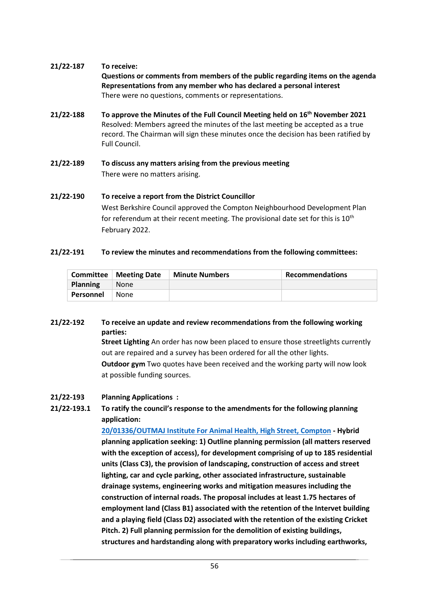#### **21/22-187 To receive:**

**Questions or comments from members of the public regarding items on the agenda Representations from any member who has declared a personal interest** There were no questions, comments or representations.

- **21/22-188 To approve the Minutes of the Full Council Meeting held on 16th November 2021**  Resolved: Members agreed the minutes of the last meeting be accepted as a true record. The Chairman will sign these minutes once the decision has been ratified by Full Council.
- **21/22-189 To discuss any matters arising from the previous meeting** There were no matters arising.

**21/22-190 To receive a report from the District Councillor** West Berkshire Council approved the Compton Neighbourhood Development Plan for referendum at their recent meeting. The provisional date set for this is  $10^{th}$ February 2022.

#### **21/22-191 To review the minutes and recommendations from the following committees:**

|                 | <b>Committee   Meeting Date</b> | <b>Minute Numbers</b> | <b>Recommendations</b> |
|-----------------|---------------------------------|-----------------------|------------------------|
| <b>Planning</b> | None                            |                       |                        |
| Personnel       | None                            |                       |                        |

### **21/22-192 To receive an update and review recommendations from the following working parties:**

**Street Lighting** An order has now been placed to ensure those streetlights currently out are repaired and a survey has been ordered for all the other lights. **Outdoor gym** Two quotes have been received and the working party will now look at possible funding sources.

#### **21/22-193 Planning Applications :**

## **21/22-193.1 To ratify the council's response to the amendments for the following planning application:**

**[20/01336/OUTMAJ Institute For Animal Health, High Street, Compton](http://planning.westberks.gov.uk/rpp/index.asp?caseref=20/01336/OUTMAJ) - Hybrid planning application seeking: 1) Outline planning permission (all matters reserved with the exception of access), for development comprising of up to 185 residential units (Class C3), the provision of landscaping, construction of access and street lighting, car and cycle parking, other associated infrastructure, sustainable drainage systems, engineering works and mitigation measures including the construction of internal roads. The proposal includes at least 1.75 hectares of employment land (Class B1) associated with the retention of the Intervet building and a playing field (Class D2) associated with the retention of the existing Cricket Pitch. 2) Full planning permission for the demolition of existing buildings, structures and hardstanding along with preparatory works including earthworks,**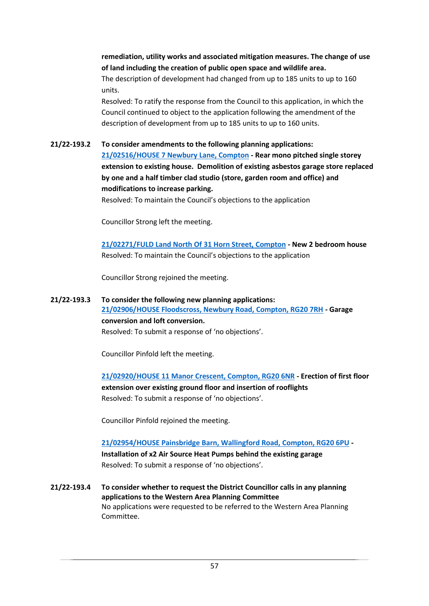**remediation, utility works and associated mitigation measures. The change of use of land including the creation of public open space and wildlife area.**

The description of development had changed from up to 185 units to up to 160 units.

Resolved: To ratify the response from the Council to this application, in which the Council continued to object to the application following the amendment of the description of development from up to 185 units to up to 160 units.

#### **21/22-193.2 To consider amendments to the following planning applications:**

**[21/02516/HOUSE 7 Newbury Lane, Compton](http://planning.westberks.gov.uk/rpp/index.asp?caseref=21/02516/HOUSE) - Rear mono pitched single storey extension to existing house. Demolition of existing asbestos garage store replaced by one and a half timber clad studio (store, garden room and office) and modifications to increase parking.**

Resolved: To maintain the Council's objections to the application

Councillor Strong left the meeting.

**[21/02271/FULD Land North Of 31 Horn Street, Compton](http://planning.westberks.gov.uk/rpp/index.asp?caseref=21/02271/FULD) - New 2 bedroom house** Resolved: To maintain the Council's objections to the application

Councillor Strong rejoined the meeting.

### **21/22-193.3 To consider the following new planning applications: [21/02906/HOUSE Floodscross, Newbury Road, Compton, RG20 7RH](http://planning.westberks.gov.uk/rpp/index.asp?caseref=21/02906/HOUSE) - Garage conversion and loft conversion.** Resolved: To submit a response of 'no objections'.

Councillor Pinfold left the meeting.

**[21/02920/HOUSE 11 Manor Crescent, Compton, RG20 6NR](http://planning.westberks.gov.uk/rpp/index.asp?caseref=21/02920/HOUSE) - Erection of first floor extension over existing ground floor and insertion of rooflights** Resolved: To submit a response of 'no objections'.

Councillor Pinfold rejoined the meeting.

**[21/02954/HOUSE Painsbridge Barn, Wallingford Road, Compton, RG20 6PU](http://planning.westberks.gov.uk/rpp/index.asp?caseref=21/02954/HOUSE) - Installation of x2 Air Source Heat Pumps behind the existing garage** Resolved: To submit a response of 'no objections'.

**21/22-193.4 To consider whether to request the District Councillor calls in any planning applications to the Western Area Planning Committee** No applications were requested to be referred to the Western Area Planning Committee.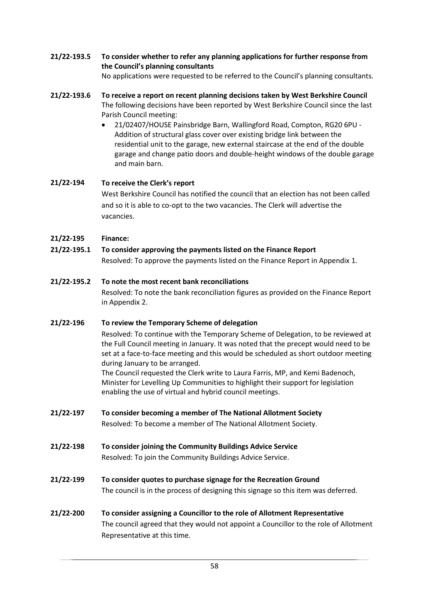**21/22-193.5 To consider whether to refer any planning applications for further response from the Council's planning consultants**

No applications were requested to be referred to the Council's planning consultants.

- **21/22-193.6 To receive a report on recent planning decisions taken by West Berkshire Council** The following decisions have been reported by West Berkshire Council since the last Parish Council meeting:
	- 21/02407/HOUSE Painsbridge Barn, Wallingford Road, Compton, RG20 6PU Addition of structural glass cover over existing bridge link between the residential unit to the garage, new external staircase at the end of the double garage and change patio doors and double-height windows of the double garage and main barn.

## **21/22-194 To receive the Clerk's report**

West Berkshire Council has notified the council that an election has not been called and so it is able to co-opt to the two vacancies. The Clerk will advertise the vacancies.

- **21/22-195 Finance:**
- **21/22-195.1 To consider approving the payments listed on the Finance Report**

Resolved: To approve the payments listed on the Finance Report in Appendix 1.

## **21/22-195.2 To note the most recent bank reconciliations**

Resolved: To note the bank reconciliation figures as provided on the Finance Report in Appendix 2.

### **21/22-196 To review the Temporary Scheme of delegation**

Resolved: To continue with the Temporary Scheme of Delegation, to be reviewed at the Full Council meeting in January. It was noted that the precept would need to be set at a face-to-face meeting and this would be scheduled as short outdoor meeting during January to be arranged.

The Council requested the Clerk write to Laura Farris, MP, and Kemi Badenoch, Minister for Levelling Up Communities to highlight their support for legislation enabling the use of virtual and hybrid council meetings.

- **21/22-197 To consider becoming a member of The National Allotment Society** Resolved: To become a member of The National Allotment Society.
- **21/22-198 To consider [joining the Community Buildings Advice Service](https://comptonparishcouncil-my.sharepoint.com/personal/clerk_comptonparishcouncil_onmicrosoft_com/Documents/Committees/Full%20Council/Full%20Council%20Agendas/2021-12-06%20Full%20Council%20Agenda.docx#_14._To_consider)** Resolved: To join the Community Buildings Advice Service.
- **21/22-199 To consider quotes to purchase signage for the Recreation Ground** The council is in the process of designing this signage so this item was deferred.
- **21/22-200 To consider assigning a Councillor to the role of Allotment Representative** The council agreed that they would not appoint a Councillor to the role of Allotment Representative at this time.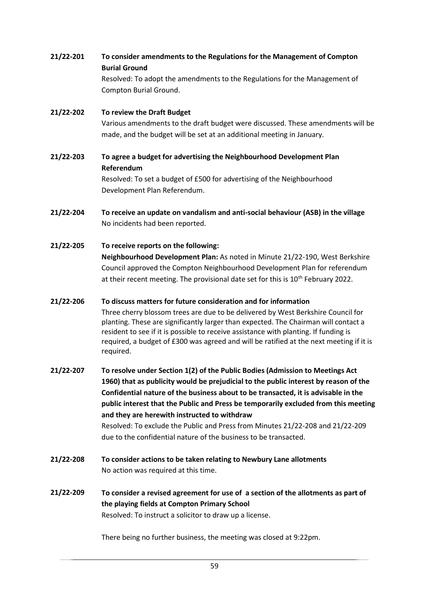**21/22-201 To consider amendments to the Regulations for the Management of Compton Burial Ground** Resolved: To adopt the amendments to the Regulations for the Management of Compton Burial Ground.

## **21/22-202 To review the Draft Budget** Various amendments to the draft budget were discussed. These amendments will be made, and the budget will be set at an additional meeting in January.

- **21/22-203 To agree a budget for advertising the Neighbourhood Development Plan Referendum** Resolved: To set a budget of £500 for advertising of the Neighbourhood Development Plan Referendum.
- **21/22-204 To receive an update on vandalism and anti-social behaviour (ASB) in the village** No incidents had been reported.
- **21/22-205 To receive reports on the following: Neighbourhood Development Plan:** As noted in Minute 21/22-190, West Berkshire Council approved the Compton Neighbourhood Development Plan for referendum at their recent meeting. The provisional date set for this is 10<sup>th</sup> February 2022.
- **21/22-206 To discuss matters for future consideration and for information** Three cherry blossom trees are due to be delivered by West Berkshire Council for planting. These are significantly larger than expected. The Chairman will contact a resident to see if it is possible to receive assistance with planting. If funding is required, a budget of £300 was agreed and will be ratified at the next meeting if it is required.
- **21/22-207 To resolve under Section 1(2) of the Public Bodies (Admission to Meetings Act 1960) that as publicity would be prejudicial to the public interest by reason of the Confidential nature of the business about to be transacted, it is advisable in the public interest that the Public and Press be temporarily excluded from this meeting and they are herewith instructed to withdraw** Resolved: To exclude the Public and Press from Minutes 21/22-208 and 21/22-209 due to the confidential nature of the business to be transacted.
- **21/22-208 To consider actions to be taken relating to Newbury Lane allotments** No action was required at this time.
- **21/22-209 To consider a revised agreement for use of a section of the allotments as part of the playing fields at Compton Primary School** Resolved: To instruct a solicitor to draw up a license.

There being no further business, the meeting was closed at 9:22pm.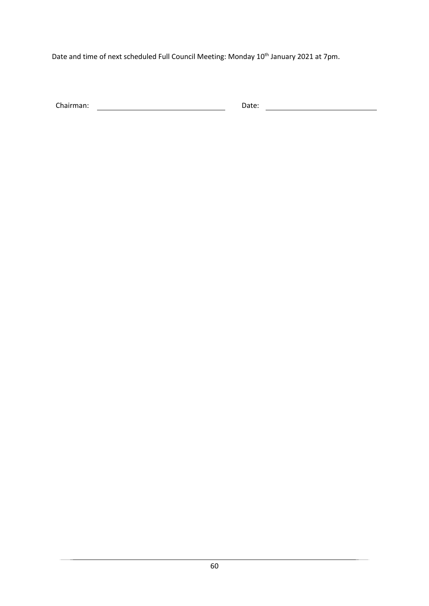Date and time of next scheduled Full Council Meeting: Monday 10<sup>th</sup> January 2021 at 7pm.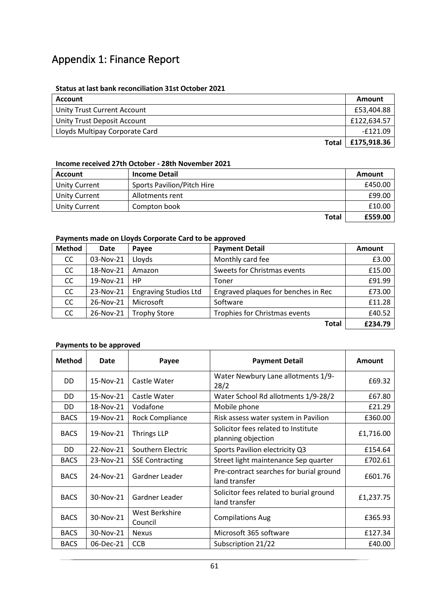# Appendix 1: Finance Report

#### **Status at last bank reconciliation 31st October 2021**

| Account                        | Amount          |
|--------------------------------|-----------------|
| Unity Trust Current Account    | £53.404.88      |
| Unity Trust Deposit Account    | £122.634.57     |
| Lloyds Multipay Corporate Card | -£121.09        |
| Total                          | $ $ £175,918.36 |

#### **Income received 27th October - 28th November 2021**

| <b>Account</b>       | <b>Income Detail</b>              | Amount  |
|----------------------|-----------------------------------|---------|
| Unity Current        | <b>Sports Pavilion/Pitch Hire</b> | £450.00 |
| <b>Unity Current</b> | Allotments rent                   | £99.00  |
| <b>Unity Current</b> | Compton book                      | £10.00  |
|                      | <b>Total</b>                      | £559.00 |

#### **Payments made on Lloyds Corporate Card to be approved**

| <b>Method</b> | <b>Date</b> | Payee                        | <b>Payment Detail</b>               | Amount  |
|---------------|-------------|------------------------------|-------------------------------------|---------|
| CC            | 03-Nov-21   | Lloyds                       | Monthly card fee                    | £3.00   |
| CC            | 18-Nov-21   | Amazon                       | Sweets for Christmas events         | £15.00  |
| CC            | 19-Nov-21   | HP                           | Toner                               | £91.99  |
| <b>CC</b>     | 23-Nov-21   | <b>Engraving Studios Ltd</b> | Engraved plaques for benches in Rec | £73.00  |
| CC            | 26-Nov-21   | Microsoft                    | Software                            | £11.28  |
| CC.           | 26-Nov-21   | <b>Trophy Store</b>          | Trophies for Christmas events       | £40.52  |
|               |             |                              | <b>Total</b>                        | £234.79 |

## **Payments to be approved**

| <b>Method</b> | Date      | Payee                     | <b>Payment Detail</b>                                     | <b>Amount</b> |
|---------------|-----------|---------------------------|-----------------------------------------------------------|---------------|
| DD.           | 15-Nov-21 | Castle Water              | Water Newbury Lane allotments 1/9-<br>28/2                | £69.32        |
| DD.           | 15-Nov-21 | Castle Water              | Water School Rd allotments 1/9-28/2                       | £67.80        |
| DD            | 18-Nov-21 | Vodafone                  | Mobile phone                                              | £21.29        |
| <b>BACS</b>   | 19-Nov-21 | Rock Compliance           | Risk assess water system in Pavilion                      | £360.00       |
| <b>BACS</b>   | 19-Nov-21 | <b>Thrings LLP</b>        | Solicitor fees related to Institute<br>planning objection | £1,716.00     |
| DD            | 22-Nov-21 | Southern Electric         | Sports Pavilion electricity Q3                            | £154.64       |
| <b>BACS</b>   | 23-Nov-21 | <b>SSE Contracting</b>    | Street light maintenance Sep quarter                      | £702.61       |
| <b>BACS</b>   | 24-Nov-21 | Gardner Leader            | Pre-contract searches for burial ground<br>land transfer  | £601.76       |
| <b>BACS</b>   | 30-Nov-21 | Gardner Leader            | Solicitor fees related to burial ground<br>land transfer  | £1,237.75     |
| <b>BACS</b>   | 30-Nov-21 | West Berkshire<br>Council | <b>Compilations Aug</b>                                   | £365.93       |
| <b>BACS</b>   | 30-Nov-21 | <b>Nexus</b>              | Microsoft 365 software                                    | £127.34       |
| <b>BACS</b>   | 06-Dec-21 | <b>CCB</b>                | Subscription 21/22                                        | £40.00        |